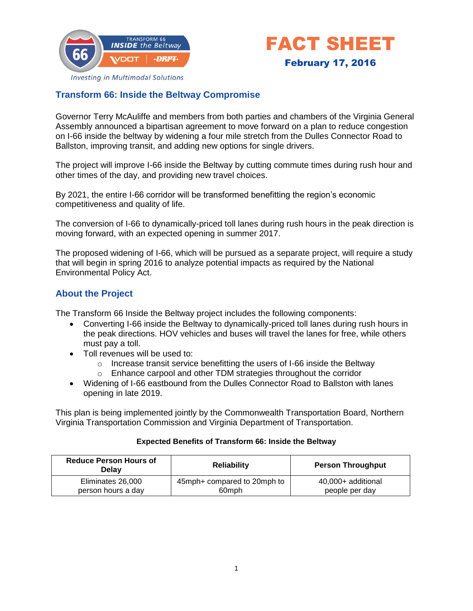



**Investing in Multimodal Solutions** 

## **Transform 66: Inside the Beltway Compromise**

Governor Terry McAuliffe and members from both parties and chambers of the Virginia General Assembly announced a bipartisan agreement to move forward on a plan to reduce congestion on I-66 inside the beltway by widening a four mile stretch from the Dulles Connector Road to Ballston, improving transit, and adding new options for single drivers.

The project will improve I-66 inside the Beltway by cutting commute times during rush hour and other times of the day, and providing new travel choices.

By 2021, the entire I-66 corridor will be transformed benefitting the region's economic competitiveness and quality of life.

The conversion of I-66 to dynamically-priced toll lanes during rush hours in the peak direction is moving forward, with an expected opening in summer 2017.

The proposed widening of I-66, which will be pursued as a separate project, will require a study that will begin in spring 2016 to analyze potential impacts as required by the National Environmental Policy Act.

## **About the Project**

The Transform 66 Inside the Beltway project includes the following components:

- Converting I-66 inside the Beltway to dynamically-priced toll lanes during rush hours in the peak directions. HOV vehicles and buses will travel the lanes for free, while others must pay a toll.
- Toll revenues will be used to:
	- o Increase transit service benefitting the users of I-66 inside the Beltway
	- o Enhance carpool and other TDM strategies throughout the corridor
- Widening of I-66 eastbound from the Dulles Connector Road to Ballston with lanes opening in late 2019.

This plan is being implemented jointly by the Commonwealth Transportation Board, Northern Virginia Transportation Commission and Virginia Department of Transportation.

#### **Expected Benefits of Transform 66: Inside the Beltway**

| <b>Reduce Person Hours of</b><br>Delav | <b>Reliability</b>          | <b>Person Throughput</b> |
|----------------------------------------|-----------------------------|--------------------------|
| Eliminates 26,000                      | 45mph+ compared to 20mph to | 40,000+ additional       |
| person hours a day                     | 60 <sub>mph</sub>           | people per day           |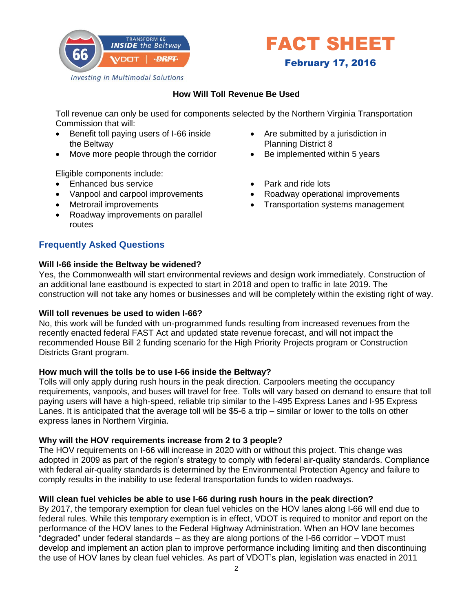



### **How Will Toll Revenue Be Used**

Toll revenue can only be used for components selected by the Northern Virginia Transportation Commission that will:

- Benefit toll paying users of I-66 inside the Beltway
- Move more people through the corridor

Eligible components include:

- Enhanced bus service
- Vanpool and carpool improvements
- Metrorail improvements
- Roadway improvements on parallel routes

## **Frequently Asked Questions**

#### **Will I-66 inside the Beltway be widened?**

Yes, the Commonwealth will start environmental reviews and design work immediately. Construction of an additional lane eastbound is expected to start in 2018 and open to traffic in late 2019. The construction will not take any homes or businesses and will be completely within the existing right of way.

### **Will toll revenues be used to widen I-66?**

No, this work will be funded with un-programmed funds resulting from increased revenues from the recently enacted federal FAST Act and updated state revenue forecast, and will not impact the recommended House Bill 2 funding scenario for the High Priority Projects program or Construction Districts Grant program.

### **How much will the tolls be to use I-66 inside the Beltway?**

Tolls will only apply during rush hours in the peak direction. Carpoolers meeting the occupancy requirements, vanpools, and buses will travel for free. Tolls will vary based on demand to ensure that toll paying users will have a high-speed, reliable trip similar to the I-495 Express Lanes and I-95 Express Lanes. It is anticipated that the average toll will be \$5-6 a trip – similar or lower to the tolls on other express lanes in Northern Virginia.

### **Why will the HOV requirements increase from 2 to 3 people?**

The HOV requirements on I-66 will increase in 2020 with or without this project. This change was adopted in 2009 as part of the region's strategy to comply with federal air-quality standards. Compliance with federal air-quality standards is determined by the Environmental Protection Agency and failure to comply results in the inability to use federal transportation funds to widen roadways.

### **Will clean fuel vehicles be able to use I-66 during rush hours in the peak direction?**

By 2017, the temporary exemption for clean fuel vehicles on the HOV lanes along I-66 will end due to federal rules. While this temporary exemption is in effect, VDOT is required to monitor and report on the performance of the HOV lanes to the Federal Highway Administration. When an HOV lane becomes "degraded" under federal standards – as they are along portions of the I-66 corridor – VDOT must develop and implement an action plan to improve performance including limiting and then discontinuing the use of HOV lanes by clean fuel vehicles. As part of VDOT's plan, legislation was enacted in 2011

- Are submitted by a jurisdiction in Planning District 8
- Be implemented within 5 years
- Park and ride lots
- Roadway operational improvements
- Transportation systems management